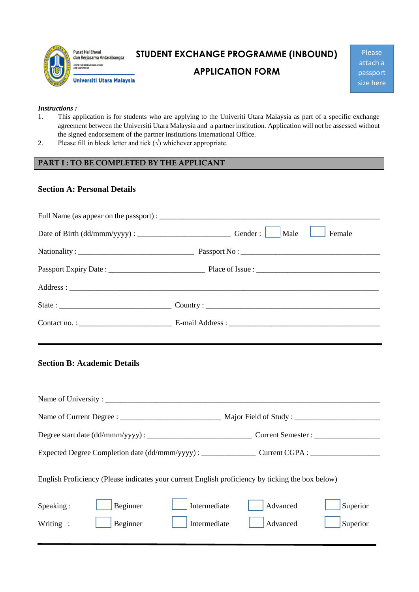

# **STUDENT EXCHANGE PROGRAMME (INBOUND)**

## **APPLICATION FORM**

Please attach a passport size here

#### *Instructions :*

- 1. This application is for students who are applying to the Univeriti Utara Malaysia as part of a specific exchange agreement between the Universiti Utara Malaysia and a partner institution. Application will not be assessed without the signed endorsement of the partner institutions International Office.
- 2. Please fill in block letter and tick  $(\sqrt{})$  whichever appropriate.

## **PART I : TO BE COMPLETED BY THE APPLICANT**

### **Section A: Personal Details**

|  | Male<br>Female |  |  |  |
|--|----------------|--|--|--|
|  |                |  |  |  |
|  |                |  |  |  |
|  |                |  |  |  |
|  |                |  |  |  |
|  |                |  |  |  |

## **Section B: Academic Details**

l

| English Proficiency (Please indicates your current English proficiency by ticking the box below) |  |  |  |  |  |  |
|--------------------------------------------------------------------------------------------------|--|--|--|--|--|--|
| Superior<br>Advanced                                                                             |  |  |  |  |  |  |
| Advanced<br>Superior                                                                             |  |  |  |  |  |  |
|                                                                                                  |  |  |  |  |  |  |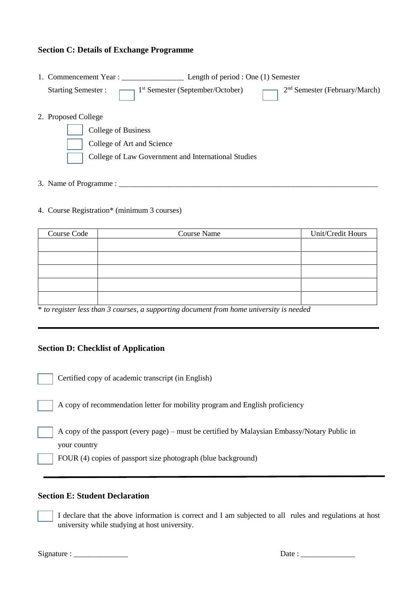### **Section C: Details of Exchange Programme**

|                     | 1. Commencement Year:      | Length of period : One (1) Semester                 |                                              |
|---------------------|----------------------------|-----------------------------------------------------|----------------------------------------------|
|                     | <b>Starting Semester:</b>  | 1 <sup>st</sup> Semester (September/October)        | $\frac{2^{nd}}{1}$ Semester (February/March) |
| 2. Proposed College |                            |                                                     |                                              |
|                     | College of Business        |                                                     |                                              |
|                     | College of Art and Science |                                                     |                                              |
|                     |                            | College of Law Government and International Studies |                                              |
|                     |                            |                                                     |                                              |

# 3. Name of Programme : \_\_\_\_\_\_\_\_\_\_\_\_\_\_\_\_\_\_\_\_\_\_\_\_\_\_\_\_\_\_\_\_\_\_\_\_\_\_\_\_\_\_\_\_\_\_\_\_\_\_\_\_\_\_\_\_\_\_\_\_\_\_\_\_\_\_\_

#### 4. Course Registration\* (minimum 3 courses)

| Course Code | <b>Course Name</b> | Unit/Credit Hours |
|-------------|--------------------|-------------------|
|             |                    |                   |
|             |                    |                   |
|             |                    |                   |
|             |                    |                   |
|             |                    |                   |

\* *to register less than 3 courses, a supporting document from home university is needed*

#### **Section D: Checklist of Application**

 $\overline{a}$ 

֦

 $\overline{a}$ 

l

l

Certified copy of academic transcript (in English)

A copy of recommendation letter for mobility program and English proficiency

A copy of the passport (every page) – must be certified by Malaysian Embassy/Notary Public in your country

FOUR (4) copies of passport size photograph (blue background)

### **Section E: Student Declaration**

I declare that the above information is correct and I am subjected to all rules and regulations at host university while studying at host university.

Signature : \_\_\_\_\_\_\_\_\_\_\_\_\_\_ Date : \_\_\_\_\_\_\_\_\_\_\_\_\_\_